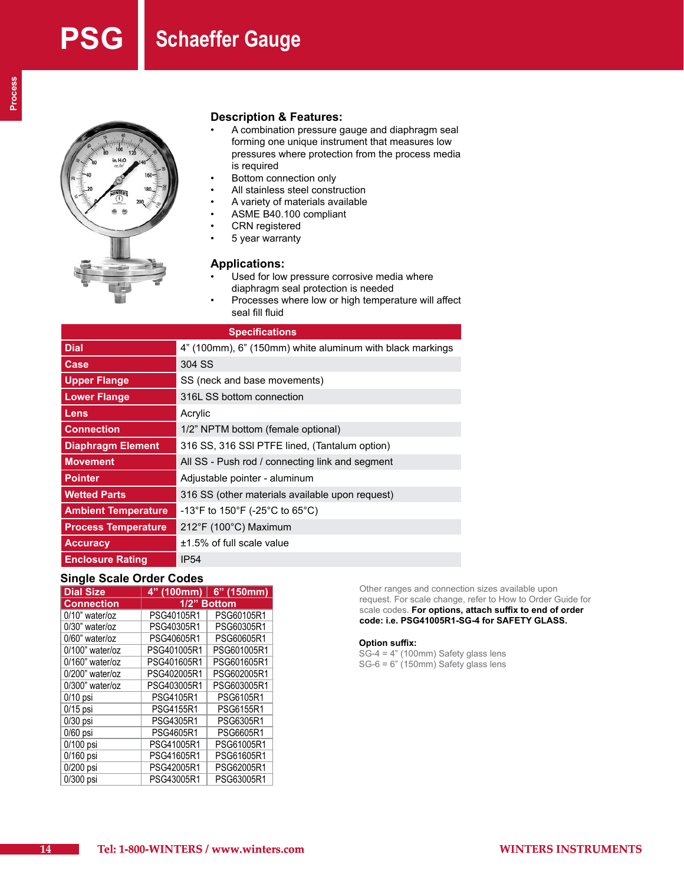

# **Description & Features:**

- A combination pressure gauge and diaphragm seal forming one unique instrument that measures low pressures where protection from the process media is required
- Bottom connection only<br>• All stainless steel constr
- All stainless steel construction<br>• A variety of materials available
- A variety of materials available<br>• ASME B40 100 compliant
- ASME B40.100 compliant<br>• CRN registered
- **CRN** registered
- 5 year warranty

# **Applications:**

- Used for low pressure corrosive media where diaphragm seal protection is needed
- Processes where low or high temperature will affect seal fill fluid

| <b>Specifications</b>      |                                                           |  |  |  |  |  |
|----------------------------|-----------------------------------------------------------|--|--|--|--|--|
| <b>Dial</b>                | 4" (100mm), 6" (150mm) white aluminum with black markings |  |  |  |  |  |
| Case                       | 304 SS                                                    |  |  |  |  |  |
| <b>Upper Flange</b>        | SS (neck and base movements)                              |  |  |  |  |  |
| <b>Lower Flange</b>        | 316L SS bottom connection                                 |  |  |  |  |  |
| Lens                       | Acrylic                                                   |  |  |  |  |  |
| <b>Connection</b>          | 1/2" NPTM bottom (female optional)                        |  |  |  |  |  |
| <b>Diaphragm Element</b>   | 316 SS, 316 SSI PTFE lined, (Tantalum option)             |  |  |  |  |  |
| <b>Movement</b>            | All SS - Push rod / connecting link and segment           |  |  |  |  |  |
| <b>Pointer</b>             | Adjustable pointer - aluminum                             |  |  |  |  |  |
| <b>Wetted Parts</b>        | 316 SS (other materials available upon request)           |  |  |  |  |  |
| <b>Ambient Temperature</b> | -13°F to 150°F (-25°C to 65°C)                            |  |  |  |  |  |
| <b>Process Temperature</b> | 212°F (100°C) Maximum                                     |  |  |  |  |  |
| <b>Accuracy</b>            | $±1.5\%$ of full scale value                              |  |  |  |  |  |
| <b>Enclosure Rating</b>    | <b>IP54</b>                                               |  |  |  |  |  |

# **Single Scale Order Codes**

| <b>Dial Size</b>   | 4" (100mm)  | $6"$ (150mm) |  |  |  |
|--------------------|-------------|--------------|--|--|--|
| <b>Connection</b>  | 1/2" Bottom |              |  |  |  |
| $0/10$ " water/oz  | PSG40105R1  | PSG60105R1   |  |  |  |
| $0/30$ " water/oz  | PSG40305R1  | PSG60305R1   |  |  |  |
| $0/60$ " water/oz  | PSG40605R1  | PSG60605R1   |  |  |  |
| $0/100$ " water/oz | PSG401005R1 | PSG601005R1  |  |  |  |
| $0/160$ " water/oz | PSG401605R1 | PSG601605R1  |  |  |  |
| $0/200$ " water/oz | PSG402005R1 | PSG602005R1  |  |  |  |
| 0/300" water/oz    | PSG403005R1 | PSG603005R1  |  |  |  |
| $0/10$ psi         | PSG4105R1   | PSG6105R1    |  |  |  |
| $0/15$ psi         | PSG4155R1   | PSG6155R1    |  |  |  |
| $0/30$ psi         | PSG4305R1   | PSG6305R1    |  |  |  |
| $0/60$ psi         | PSG4605R1   | PSG6605R1    |  |  |  |
| 0/100 psi          | PSG41005R1  | PSG61005R1   |  |  |  |
| 0/160 psi          | PSG41605R1  | PSG61605R1   |  |  |  |
| 0/200 psi          | PSG42005R1  | PSG62005R1   |  |  |  |
| 0/300 psi          | PSG43005R1  | PSG63005R1   |  |  |  |

Other ranges and connection sizes available upon request. For scale change, refer to How to Order Guide for scale codes. **For options, attach suffix to end of order code: i.e. PSG41005R1-SG-4 for SAFETY GLASS.**

### **Option suffix:**

SG-4 = 4" (100mm) Safety glass lens SG-6 = 6" (150mm) Safety glass lens